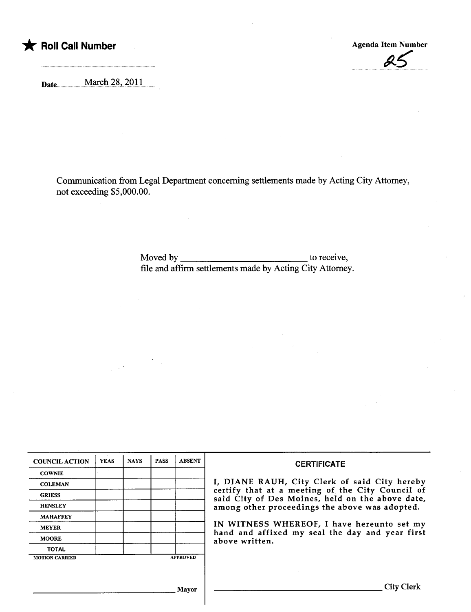

25

Date......................M.ar~h..7.S'-..7..QJ.L......

Communication from Legal Department concerning settlements made by Acting City Attorney, not exceeding \$5,000.00.

> Moved by to receive, file and affirm settlements made by Acting City Attorney.

| <b>COUNCIL ACTION</b> | <b>YEAS</b> | <b>NAYS</b> | <b>PASS</b> | <b>ABSENT</b>   | <b>CERTIFICATE</b><br>I, DIANE RAUH, City Clerk of said City hereby<br>certify that at a meeting of the City Council of<br>said City of Des Moines, held on the above date,<br>among other proceedings the above was adopted.<br>IN WITNESS WHEREOF, I have hereunto set my<br>hand and affixed my seal the day and year first<br>above written. |
|-----------------------|-------------|-------------|-------------|-----------------|--------------------------------------------------------------------------------------------------------------------------------------------------------------------------------------------------------------------------------------------------------------------------------------------------------------------------------------------------|
| <b>COWNIE</b>         |             |             |             |                 |                                                                                                                                                                                                                                                                                                                                                  |
| <b>COLEMAN</b>        |             |             |             |                 |                                                                                                                                                                                                                                                                                                                                                  |
| <b>GRIESS</b>         |             |             |             |                 |                                                                                                                                                                                                                                                                                                                                                  |
| <b>HENSLEY</b>        |             |             |             |                 |                                                                                                                                                                                                                                                                                                                                                  |
| <b>MAHAFFEY</b>       |             |             |             |                 |                                                                                                                                                                                                                                                                                                                                                  |
| <b>MEYER</b>          |             |             |             |                 |                                                                                                                                                                                                                                                                                                                                                  |
| <b>MOORE</b>          |             |             |             |                 |                                                                                                                                                                                                                                                                                                                                                  |
| <b>TOTAL</b>          |             |             |             |                 |                                                                                                                                                                                                                                                                                                                                                  |
| <b>MOTION CARRIED</b> |             |             |             | <b>APPROVED</b> |                                                                                                                                                                                                                                                                                                                                                  |
|                       |             |             |             |                 |                                                                                                                                                                                                                                                                                                                                                  |
|                       |             |             |             |                 |                                                                                                                                                                                                                                                                                                                                                  |
|                       |             |             |             |                 |                                                                                                                                                                                                                                                                                                                                                  |
| Mayor                 |             |             |             |                 | City Clerk                                                                                                                                                                                                                                                                                                                                       |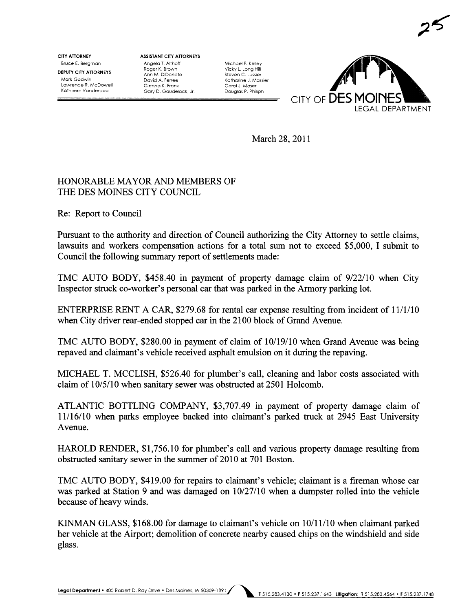CITY ATTORNEY Bruce E. Bergman

DEPUTY CITY ATTORNEYS Mark Godwin Lawrence R. McDowell Kathleen Vanderpool

ASSISTANT CITY ATTORNEYS Angela T. Althoff Roger K. Brown Ann M. DiDonato David A. Ferree Glenna K. Frank Gary D. Goudelock. Jr.

Michael F. Kelley Vicky L. Long Hill Steven C. Lussier Katharine J. Massier Carol J. Moser Douglas P. Philiph



 $25$ 

March 28, 2011

## HONORABLE MAYOR AND MEMBERS OF THE DES MOINES CITY COUNCIL

Re: Report to Council

Pursuant to the authority and direction of Council authorizing the City Attorney to settle claims, lawsuits and workers compensation actions for a total sum not to exceed \$5,000, I submit to Council the following summary report of settlements made:

TMC AUTO BODY, \$458.40 in payment of property damage claim of 9/22/10 when City Inspector struck co-worker's personal car that was parked in the Armory parking lot.

ENTERPRISE RENT A CAR, \$279.68 for rental car expense resulting from incident of 11/1/10 when City driver rear-ended stopped car in the 2100 block of Grand Avenue.

TMC AUTO BODY, \$280.00 in payment of claim of 10/19/10 when Grand Avenue was being repaved and claimant's vehicle received asphalt emulsion on it durng the repaving.

MICHAEL T. MCCLISH, \$526.40 for plumber's call, cleaning and labor costs associated with claim of  $10/5/10$  when sanitary sewer was obstructed at  $2501$  Holcomb.

ATLANTIC BOTTLING COMPANY, \$3,707.49 in payment of property damage claim of 11/16/10 when parks employee backed into claimant's parked truck at 2945 East University Avenue.

HAROLD RENDER, \$1,756.10 for plumber's call and various property damage resulting from obstructed sanitary sewer in the summer of 2010 at 701 Boston.

TMC AUTO BODY, \$419.00 for repairs to claimant's vehicle; claimant is a fireman whose car was parked at Station 9 and was damaged on 10/27/10 when a dumpster rolled into the vehicle because of heavy winds.

KIMAN GLASS, \$168.00 for damage to claimant's vehicle on 10/11/10 when claimant parked her vehicle at the Airport; demolition of concrete nearby caused chips on the windshield and side glass.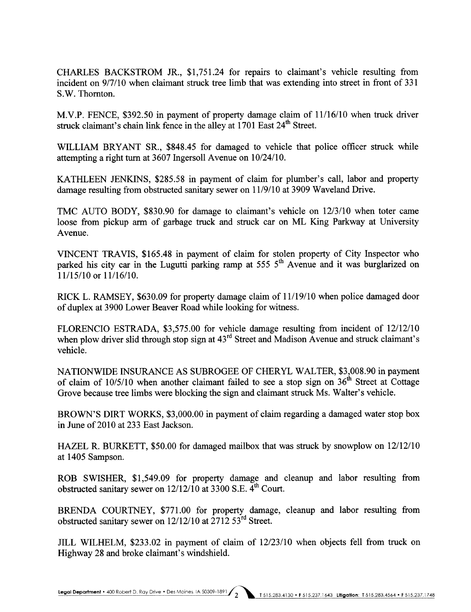CHAES BACKSTROM JR., \$1,751.24 for repairs to claimant's vehicle resulting from incident on 9/7/10 when claimant struck tree limb that was extending into street in front of 331 S.W. Thornton.

M.V.P. FENCE, \$392.50 in payment of property damage claim of 11/16/10 when truck driver struck claimant's chain link fence in the alley at 1701 East 24<sup>th</sup> Street.

WILLIAM BRYANT SR., \$848.45 for damaged to vehicle that police officer struck while attempting a right turn at 3607 Ingersoll Avenue on  $10/24/10$ .

KATHLEEN JENKINS, \$285.58 in payment of claim for plumber's call, labor and property damage resulting from obstructed sanitary sewer on 11/9/10 at 3909 Waveland Drive.

TMC AUTO BODY, \$830.90 for damage to claimant's vehicle on 12/3/10 when toter came loose from pickup arm of garbage truck and struck car on ML King Parkway at University Avenue.

VINCENT TRAVIS, \$165.48 in payment of claim for stolen property of City Inspector who parked his city car in the Lugutti parking ramp at 555  $5<sup>th</sup>$  Avenue and it was burglarized on 11/15/10 or 11/16/10.

RICK L. RAMSEY, \$630.09 for property damage claim of 11/19/10 when police damaged door of duplex at 3900 Lower Beaver Road while looking for witness.

FLORENCIO ESTRADA, \$3,575.00 for vehicle damage resulting from incident of 12/12/10 when plow driver slid through stop sign at 43<sup>rd</sup> Street and Madison Avenue and struck claimant's vehicle.

NATIONWIDE INSURANCE AS SUBROGEE OF CHERYL WALTER, \$3,008.90 in payment of claim of  $10/5/10$  when another claimant failed to see a stop sign on  $36<sup>th</sup>$  Street at Cottage Grove because tree limbs were blocking the sign and claimant struck Ms. Walter's vehicle.

BROWN'S DIRT WORKS, \$3,000.00 in payment of claim regarding a damaged water stop box in June of 2010 at 233 East Jackson.

HAZEL R. BURKETT, \$50.00 for damaged mailbox that was struck by snowplow on 12/12/10 at 1405 Sampson.

ROB SWISHER, \$1,549.09 for property damage and cleanup and labor resulting from obstructed sanitary sewer on  $12/12/10$  at 3300 S.E.  $\overline{4}^{\text{th}}$  Court.

BRENDA COURTNEY, \$771.00 for property damage, cleanup and labor resulting from obstructed sanitary sewer on  $12/12/10$  at  $271253^{rd}$  Street.

JILL WILHELM, \$233.02 in payment of claim of 12/23/10 when objects fell from truck on Highway 28 and broke claimant's windshield.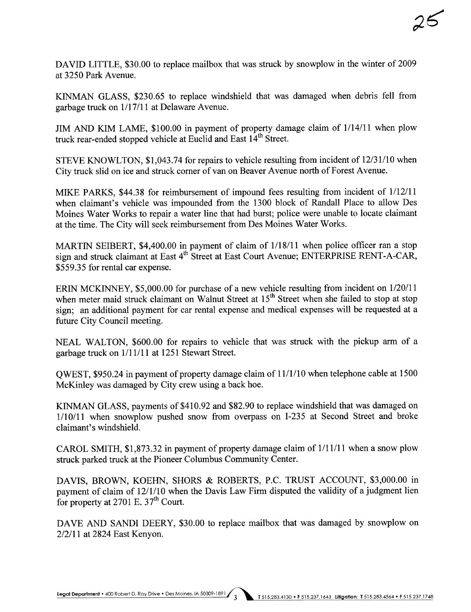DAVID LITTLE, \$30.00 to replace mailbox that was struck by snowplow in the winter of 2009 at 3250 Park Avenue.

KINMAN GLASS, \$230.65 to replace windshield that was damaged when debris fell from garbage truck on 1/17/11 at Delaware Avenue.

JIM AND KIM LAME, \$100.00 in payment of property damage claim of 1/14/11 when plow truck rear-ended stopped vehicle at Euclid and East 14<sup>th</sup> Street.

STEVE KNOWLTON, \$1,043.74 for repairs to vehicle resulting from incident of 12/31/10 when City truck slid on ice and struck corner of van on Beaver Avenue north of Forest Avenue.

MIKE PARKS, \$44.38 for reimbursement of impound fees resulting from incident of 1/12/11 when claimant's vehicle was impounded from the 1300 block of Randall Place to allow Des Moines Water Works to repair a water line that had burst; police were unable to locate claimant at the time. The City will seek reimbursement from Des Moines Water Works.

MARTIN SEIBERT, \$4,400.00 in payment of claim of 1/18/11 when police officer ran a stop sign and struck claimant at East 4<sup>th</sup> Street at East Court Avenue; ENTERPRISE RENT-A-CAR, \$559.35 for rental car expense.

ERIN MCKINEY, \$5,000.00 for purchase of a new vehicle resulting from incident on 1/20/11 when meter maid struck claimant on Walnut Street at 15<sup>th</sup> Street when she failed to stop at stop sign; an additional payment for car rental expense and medical expenses will be requested at a future City Council meeting.

NEAL WALTON, \$600.00 for repairs to vehicle that was struck with the pickup arm of a garbage truck on  $1/11/11$  at 1251 Stewart Street.

QWEST, \$950.24 in payment of property damage claim of 11/1/10 when telephone cable at 1500 McKinley was damaged by City crew using a back hoe.

KINMAN GLASS, payments of \$410.92 and \$82.90 to replace windshield that was damaged on 1/10/11 when snowplow pushed snow from overpass on 1-235 at Second Street and broke claimant's windshield.

CAROL SMITH, \$1,873.32 in payment of property damage claim of 1/11/11 when a snow plow struck parked truck at the Pioneer Columbus Community Center.

DAVIS, BROWN, KOEHN, SHORS & ROBERTS, P.C. TRUST ACCOUNT, \$3,000.00 in payment of claim of 12/1/10 when the Davis Law Firm disputed the validity of a judgment lien for property at 2701 E.  $37<sup>th</sup>$  Court.

DAVE AND SANDI DEERY, \$30.00 to replace mailbox that was damaged by snowplow on 2/2/11 at 2824 East Kenyon.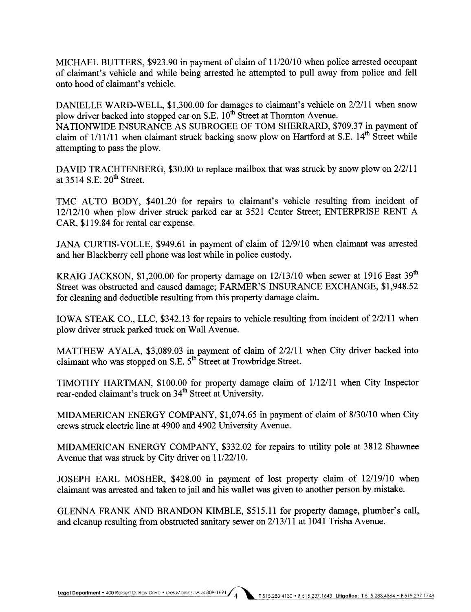MICHAEL BUTTERS, \$923.90 in payment of claim of  $11/20/10$  when police arrested occupant of claimant's vehicle and while being arested he attempted to pull away from police and fell onto hood of claimant's vehicle.

DANIELLE WARD-WELL, \$1,300.00 for damages to claimant's vehicle on 2/2/11 when snow plow driver backed into stopped car on S.E.  $10^{th}$  Street at Thornton Avenue. NATIONWIDE INSURANCE AS SUBROGEE OF TOM SHERRARD, \$709.37 in payment of claim of  $1/11/11$  when claimant struck backing snow plow on Hartford at S.E.  $14<sup>th</sup>$  Street while attempting to pass the plow.

DAVID TRACHTENBERG, \$30.00 to replace mailbox that was struck by snow plow on 2/2/11 at  $3514$  S.E.  $20^{th}$  Street.

TMC AUTO BODY, \$401.20 for repairs to claimant's vehicle resulting from incident of 12/12/10 when plow drver struck parked car at 3521 Center Street; ENTERPRISE RENT A CAR, \$119.84 for rental car expense.

JANA CURTIS-VOLLE, \$949.61 in payment of claim of 12/9/10 when claimant was arested and her Blackberry cell phone was lost while in police custody.

KRAIG JACKSON, \$1,200.00 for property damage on  $12/13/10$  when sewer at 1916 East 39<sup>th</sup> Street was obstructed and caused damage; FARMER'S INSURANCE EXCHANGE, \$1,948.52 for cleaning and deductible resulting from this property damage claim.

IOWA STEAK CO., LLC, \$342.13 for repairs to vehicle resulting from incident of 2/2/11 when plow driver struck parked truck on Wall Avenue.

MATTHEW AYALA, \$3,089.03 in payment of claim of 2/2/11 when City driver backed into claimant who was stopped on S.E. 5<sup>th</sup> Street at Trowbridge Street.

TIMOTHY HARTMA, \$100.00 for property damage claim of 1/12/11 when City Inspector rear-ended claimant's truck on 34<sup>th</sup> Street at University.

MIDAMERICAN ENERGY COMPANY, \$1,074.65 in payment of claim of 8/30/10 when City crews struck electric line at 4900 and 4902 University Avenue.

MID AMERICAN ENERGY COMPANY, \$332.02 for repairs to utility pole at 3812 Shawnee Avenue that was struck by City driver on 11/22/10.

JOSEPH EARL MOSHER, \$428.00 in payment of lost property claim of  $12/19/10$  when claimant was arrested and taken to jail and his wallet was given to another person by mistake.

GLENNA FRANK AND BRANDON KIMBLE, \$515.11 for property damage, plumber's call, and cleanup resulting from obstructed sanitary sewer on  $2/13/11$  at 1041 Trisha Avenue.